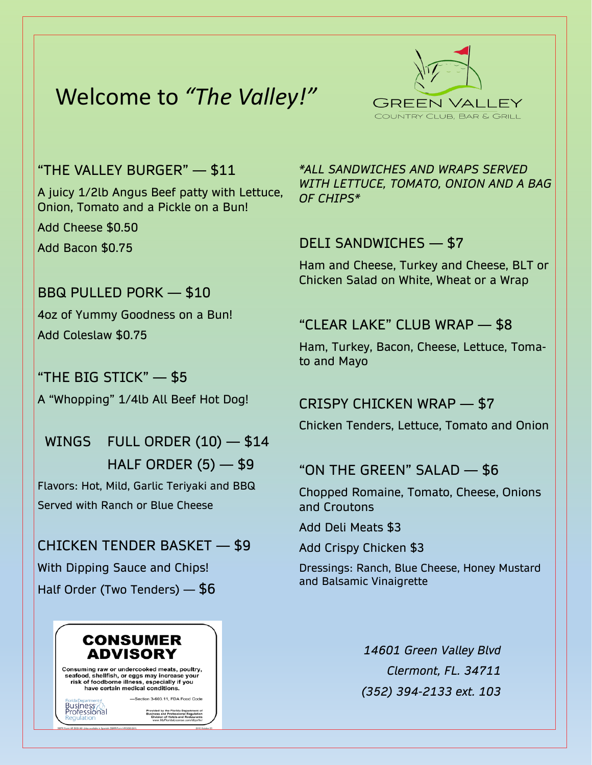# Welcome to *"The Valley!"*



#### "THE VALLEY BURGER" — \$11

A juicy 1/2lb Angus Beef patty with Lettuce, Onion, Tomato and a Pickle on a Bun! Add Cheese \$0.50

Add Bacon \$0.75

### BBQ PULLED PORK — \$10 4oz of Yummy Goodness on a Bun! Add Coleslaw \$0.75

"THE BIG STICK" — \$5 A "Whopping" 1/4lb All Beef Hot Dog!

WINGS FULL ORDER (10) - \$14 HALF ORDER  $(5)$  — \$9 Flavors: Hot, Mild, Garlic Teriyaki and BBQ Served with Ranch or Blue Cheese

CHICKEN TENDER BASKET — \$9 With Dipping Sauce and Chips! Half Order (Two Tenders) — \$6



*\*ALL SANDWICHES AND WRAPS SERVED WITH LETTUCE, TOMATO, ONION AND A BAG OF CHIPS\**

#### DELI SANDWICHES — \$7

Ham and Cheese, Turkey and Cheese, BLT or Chicken Salad on White, Wheat or a Wrap

### "CLEAR LAKE" CLUB WRAP — \$8

Ham, Turkey, Bacon, Cheese, Lettuce, Tomato and Mayo

#### CRISPY CHICKEN WRAP — \$7

Chicken Tenders, Lettuce, Tomato and Onion

#### "ON THE GREEN" SALAD — \$6

Chopped Romaine, Tomato, Cheese, Onions and Croutons

Add Deli Meats \$3

Add Crispy Chicken \$3

Dressings: Ranch, Blue Cheese, Honey Mustard and Balsamic Vinaigrette

> *14601 Green Valley Blvd Clermont, FL. 34711 (352) 394-2133 ext. 103*